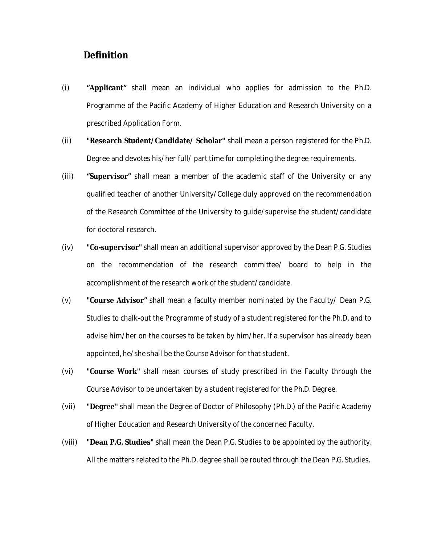## **Definition**

- (i) **"Applicant"** shall mean an individual who applies for admission to the Ph.D. Programme of the Pacific Academy of Higher Education and Research University on a prescribed Application Form.
- (ii) **"Research Student/Candidate/ Scholar"** shall mean a person registered for the Ph.D. Degree and devotes his/her full/ part time for completing the degree requirements.
- (iii) **"Supervisor"** shall mean a member of the academic staff of the University or any qualified teacher of another University/College duly approved on the recommendation of the Research Committee of the University to guide/supervise the student/candidate for doctoral research.
- (iv) **"Co-supervisor"** shall mean an additional supervisor approved by the Dean P.G. Studies on the recommendation of the research committee/ board to help in the accomplishment of the research work of the student/candidate.
- (v) **"Course Advisor"** shall mean a faculty member nominated by the Faculty/ Dean P.G. Studies to chalk-out the Programme of study of a student registered for the Ph.D. and to advise him/her on the courses to be taken by him/her. If a supervisor has already been appointed, he/she shall be the Course Advisor for that student.
- (vi) **"Course Work"** shall mean courses of study prescribed in the Faculty through the Course Advisor to be undertaken by a student registered for the Ph.D. Degree.
- (vii) **"Degree"** shall mean the Degree of Doctor of Philosophy (Ph.D.) of the Pacific Academy of Higher Education and Research University of the concerned Faculty.
- (viii) **"Dean P.G. Studies"** shall mean the Dean P.G. Studies to be appointed by the authority. All the matters related to the Ph.D. degree shall be routed through the Dean P.G. Studies.